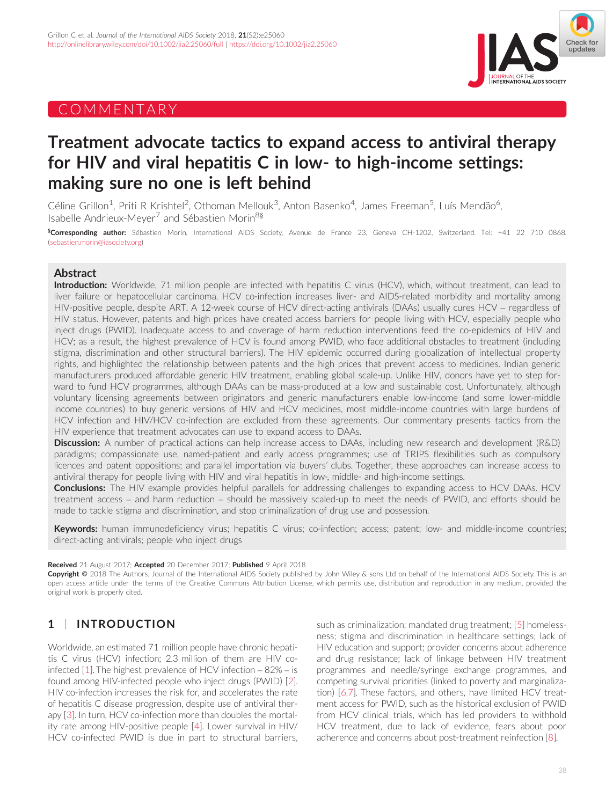## COMMENTARY



# Treatment advocate tactics to expand access to antiviral therapy for HIV and viral hepatitis C in low- to high-income settings: making sure no one is left behind

Céline Grillon<sup>1</sup>, Priti R Krishtel<sup>2</sup>, Othoman Mellouk<sup>3</sup>, Anton Basenko<sup>4</sup>, James Freeman<sup>5</sup>, Luís Mendão<sup>6</sup> , Isabelle Andrieux-Meyer<sup>7</sup> and Sébastien Morin<sup>8§</sup>

**<sup>§</sup>Corresponding author:** Sébastien Morin, International AIDS Society, Avenue de France 23, Geneva CH-1202, Switzerland. Tel: +41 22 710 0868 ([sebastien.morin@iasociety.org](mailto:sebastien.morin@iasociety.org))

## Abstract

Introduction: Worldwide, 71 million people are infected with hepatitis C virus (HCV), which, without treatment, can lead to liver failure or hepatocellular carcinoma. HCV co-infection increases liver- and AIDS-related morbidity and mortality among HIV-positive people, despite ART. A 12-week course of HCV direct-acting antivirals (DAAs) usually cures HCV – regardless of HIV status. However, patents and high prices have created access barriers for people living with HCV, especially people who inject drugs (PWID). Inadequate access to and coverage of harm reduction interventions feed the co-epidemics of HIV and HCV; as a result, the highest prevalence of HCV is found among PWID, who face additional obstacles to treatment (including stigma, discrimination and other structural barriers). The HIV epidemic occurred during globalization of intellectual property rights, and highlighted the relationship between patents and the high prices that prevent access to medicines. Indian generic manufacturers produced affordable generic HIV treatment, enabling global scale-up. Unlike HIV, donors have yet to step forward to fund HCV programmes, although DAAs can be mass-produced at a low and sustainable cost. Unfortunately, although voluntary licensing agreements between originators and generic manufacturers enable low-income (and some lower-middle income countries) to buy generic versions of HIV and HCV medicines, most middle-income countries with large burdens of HCV infection and HIV/HCV co-infection are excluded from these agreements. Our commentary presents tactics from the HIV experience that treatment advocates can use to expand access to DAAs.

Discussion: A number of practical actions can help increase access to DAAs, including new research and development (R&D) paradigms; compassionate use, named-patient and early access programmes; use of TRIPS flexibilities such as compulsory licences and patent oppositions; and parallel importation via buyers' clubs. Together, these approaches can increase access to antiviral therapy for people living with HIV and viral hepatitis in low-, middle- and high-income settings.

**Conclusions:** The HIV example provides helpful parallels for addressing challenges to expanding access to HCV DAAs. HCV treatment access – and harm reduction – should be massively scaled-up to meet the needs of PWID, and efforts should be made to tackle stigma and discrimination, and stop criminalization of drug use and possession.

Keywords: human immunodeficiency virus; hepatitis C virus; co-infection; access; patent; low- and middle-income countries; direct-acting antivirals; people who inject drugs

Received 21 August 2017; Accepted 20 December 2017; Published 9 April 2018

Copyright © 2018 The Authors. Journal of the International AIDS Society published by John Wiley & sons Ltd on behalf of the International AIDS Society. This is an open access article under the terms of the [Creative Commons Attribution](http://creativecommons.org/licenses/by/4.0/) License, which permits use, distribution and reproduction in any medium, provided the original work is properly cited.

## 1 | INTRODUCTION

Worldwide, an estimated 71 million people have chronic hepatitis C virus (HCV) infection; 2.3 million of them are HIV coinfected [\[1](#page-4-0)]. The highest prevalence of HCV infection – 82% – is found among HIV-infected people who inject drugs (PWID) [[2\]](#page-4-0). HIV co-infection increases the risk for, and accelerates the rate of hepatitis C disease progression, despite use of antiviral therapy [[3\]](#page-4-0). In turn, HCV co-infection more than doubles the mortality rate among HIV-positive people [[4\]](#page-4-0). Lower survival in HIV/ HCV co-infected PWID is due in part to structural barriers,

such as criminalization; mandated drug treatment; [\[5](#page-4-0)] homelessness; stigma and discrimination in healthcare settings; lack of HIV education and support; provider concerns about adherence and drug resistance; lack of linkage between HIV treatment programmes and needle/syringe exchange programmes, and competing survival priorities (linked to poverty and marginalization) [\[6,7](#page-4-0)]. These factors, and others, have limited HCV treatment access for PWID, such as the historical exclusion of PWID from HCV clinical trials, which has led providers to withhold HCV treatment, due to lack of evidence, fears about poor adherence and concerns about post-treatment reinfection [[8\]](#page-4-0).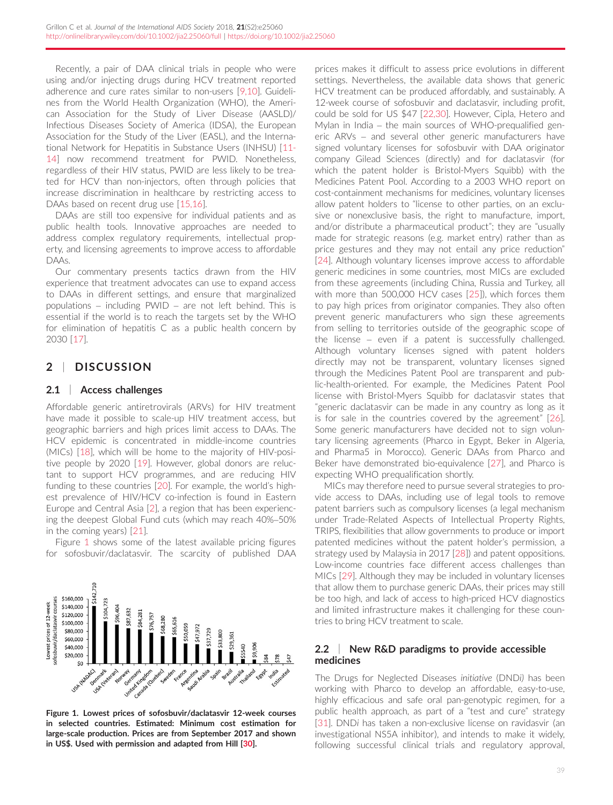Recently, a pair of DAA clinical trials in people who were using and/or injecting drugs during HCV treatment reported adherence and cure rates similar to non-users [[9,10](#page-4-0)]. Guidelines from the World Health Organization (WHO), the American Association for the Study of Liver Disease (AASLD)/ Infectious Diseases Society of America (IDSA), the European Association for the Study of the Liver (EASL), and the International Network for Hepatitis in Substance Users (INHSU) [\[11-](#page-4-0) [14](#page-4-0)] now recommend treatment for PWID. Nonetheless, regardless of their HIV status, PWID are less likely to be treated for HCV than non-injectors, often through policies that increase discrimination in healthcare by restricting access to DAAs based on recent drug use [[15,16\]](#page-4-0).

DAAs are still too expensive for individual patients and as public health tools. Innovative approaches are needed to address complex regulatory requirements, intellectual property, and licensing agreements to improve access to affordable DAAs.

Our commentary presents tactics drawn from the HIV experience that treatment advocates can use to expand access to DAAs in different settings, and ensure that marginalized populations – including PWID – are not left behind. This is essential if the world is to reach the targets set by the WHO for elimination of hepatitis C as a public health concern by 2030 [[17](#page-4-0)].

## 2 | DISCUSSION

#### 2.1 | Access challenges

Affordable generic antiretrovirals (ARVs) for HIV treatment have made it possible to scale-up HIV treatment access, but geographic barriers and high prices limit access to DAAs. The HCV epidemic is concentrated in middle-income countries (MICs) [\[18\]](#page-4-0), which will be home to the majority of HIV-positive people by 2020 [\[19](#page-4-0)]. However, global donors are reluctant to support HCV programmes, and are reducing HIV funding to these countries [[20\]](#page-4-0). For example, the world's highest prevalence of HIV/HCV co-infection is found in Eastern Europe and Central Asia [\[2](#page-4-0)], a region that has been experiencing the deepest Global Fund cuts (which may reach 40%–50% in the coming years) [\[21](#page-4-0)].

Figure 1 shows some of the latest available pricing figures for sofosbuvir/daclatasvir. The scarcity of published DAA



Figure 1. Lowest prices of sofosbuvir/daclatasvir 12-week courses in selected countries. Estimated: Minimum cost estimation for large-scale production. Prices are from September 2017 and shown in US\$. Used with permission and adapted from Hill [\[30](#page-5-0)].

prices makes it difficult to assess price evolutions in different settings. Nevertheless, the available data shows that generic HCV treatment can be produced affordably, and sustainably. A 12-week course of sofosbuvir and daclatasvir, including profit, could be sold for US \$47 [\[22,30](#page-4-0)]. However, Cipla, Hetero and Mylan in India – the main sources of WHO-prequalified generic ARVs – and several other generic manufacturers have signed voluntary licenses for sofosbuvir with DAA originator company Gilead Sciences (directly) and for daclatasvir (for which the patent holder is Bristol-Myers Squibb) with the Medicines Patent Pool. According to a 2003 WHO report on cost-containment mechanisms for medicines, voluntary licenses allow patent holders to "license to other parties, on an exclusive or nonexclusive basis, the right to manufacture, import, and/or distribute a pharmaceutical product"; they are "usually made for strategic reasons (e.g. market entry) rather than as price gestures and they may not entail any price reduction" [[24\]](#page-5-0). Although voluntary licenses improve access to affordable generic medicines in some countries, most MICs are excluded from these agreements (including China, Russia and Turkey, all with more than 500,000 HCV cases [[25\]](#page-5-0)), which forces them to pay high prices from originator companies. They also often prevent generic manufacturers who sign these agreements from selling to territories outside of the geographic scope of the license – even if a patent is successfully challenged. Although voluntary licenses signed with patent holders directly may not be transparent, voluntary licenses signed through the Medicines Patent Pool are transparent and public-health-oriented. For example, the Medicines Patent Pool license with Bristol-Myers Squibb for daclatasvir states that "generic daclatasvir can be made in any country as long as it is for sale in the countries covered by the agreement" [\[26](#page-5-0)]. Some generic manufacturers have decided not to sign voluntary licensing agreements (Pharco in Egypt, Beker in Algeria, and Pharma5 in Morocco). Generic DAAs from Pharco and Beker have demonstrated bio-equivalence [[27\]](#page-5-0), and Pharco is expecting WHO prequalification shortly.

MICs may therefore need to pursue several strategies to provide access to DAAs, including use of legal tools to remove patent barriers such as compulsory licenses (a legal mechanism under Trade-Related Aspects of Intellectual Property Rights, TRIPS, flexibilities that allow governments to produce or import patented medicines without the patent holder's permission, a strategy used by Malaysia in 2017 [\[28](#page-5-0)]) and patent oppositions. Low-income countries face different access challenges than MICs [\[29](#page-5-0)]. Although they may be included in voluntary licenses that allow them to purchase generic DAAs, their prices may still be too high, and lack of access to high-priced HCV diagnostics and limited infrastructure makes it challenging for these countries to bring HCV treatment to scale.

#### 2.2 | New R&D paradigms to provide accessible medicines

The Drugs for Neglected Diseases initiative (DNDi) has been working with Pharco to develop an affordable, easy-to-use, highly efficacious and safe oral pan-genotypic regimen, for a public health approach, as part of a "test and cure" strategy [[31\]](#page-5-0). DNDi has taken a non-exclusive license on ravidasvir (an investigational NS5A inhibitor), and intends to make it widely, following successful clinical trials and regulatory approval,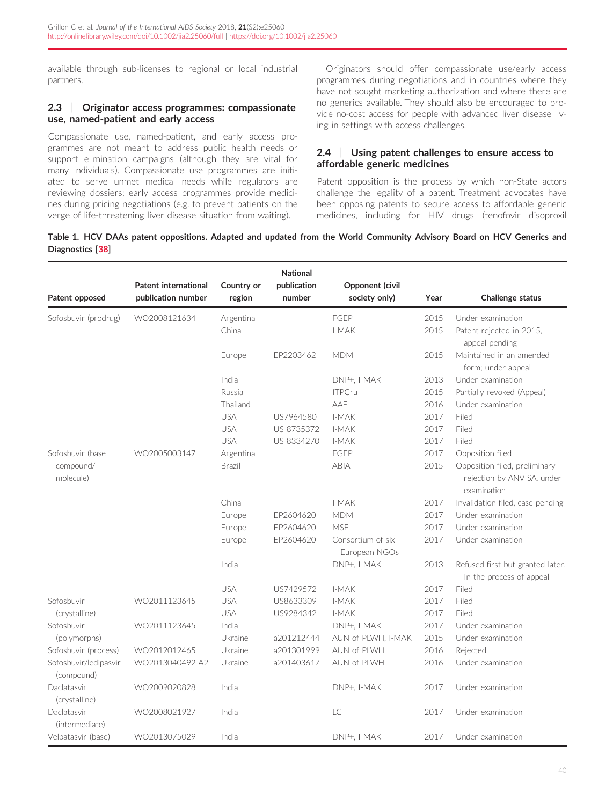<span id="page-2-0"></span>available through sub-licenses to regional or local industrial partners.

#### 2.3 | Originator access programmes: compassionate use, named-patient and early access

Compassionate use, named-patient, and early access programmes are not meant to address public health needs or support elimination campaigns (although they are vital for many individuals). Compassionate use programmes are initiated to serve unmet medical needs while regulators are reviewing dossiers; early access programmes provide medicines during pricing negotiations (e.g. to prevent patients on the verge of life-threatening liver disease situation from waiting).

Originators should offer compassionate use/early access programmes during negotiations and in countries where they have not sought marketing authorization and where there are no generics available. They should also be encouraged to provide no-cost access for people with advanced liver disease living in settings with access challenges.

### 2.4 | Using patent challenges to ensure access to affordable generic medicines

Patent opposition is the process by which non-State actors challenge the legality of a patent. Treatment advocates have been opposing patents to secure access to affordable generic medicines, including for HIV drugs (tenofovir disoproxil

### Table 1. HCV DAAs patent oppositions. Adapted and updated from the World Community Advisory Board on HCV Generics and Diagnostics [\[38](#page-5-0)]

| Patent opposed                      | <b>Patent international</b><br>publication number | Country or<br>region | <b>National</b><br>publication<br>number | Opponent (civil<br>society only)   | Year | Challenge status                                                           |
|-------------------------------------|---------------------------------------------------|----------------------|------------------------------------------|------------------------------------|------|----------------------------------------------------------------------------|
| Sofosbuvir (prodrug)                | WO2008121634                                      | Argentina            |                                          | <b>FGEP</b>                        | 2015 | Under examination                                                          |
|                                     |                                                   | China                |                                          | I-MAK                              | 2015 | Patent rejected in 2015,<br>appeal pending                                 |
|                                     |                                                   | Europe               | EP2203462                                | <b>MDM</b>                         | 2015 | Maintained in an amended<br>form; under appeal                             |
|                                     |                                                   | India                |                                          | DNP+, I-MAK                        | 2013 | Under examination                                                          |
|                                     |                                                   | Russia               |                                          | <b>ITPCru</b>                      | 2015 | Partially revoked (Appeal)                                                 |
|                                     |                                                   | Thailand             |                                          | AAF                                | 2016 | Under examination                                                          |
|                                     |                                                   | <b>USA</b>           | US7964580                                | I-MAK                              | 2017 | Filed                                                                      |
|                                     |                                                   | <b>USA</b>           | US 8735372                               | I-MAK                              | 2017 | Filed                                                                      |
|                                     |                                                   | <b>USA</b>           | US 8334270                               | I-MAK                              | 2017 | Filed                                                                      |
| Sofosbuvir (base                    | WO2005003147                                      | Argentina            |                                          | <b>FGEP</b>                        | 2017 | Opposition filed                                                           |
| compound/<br>molecule)              |                                                   | Brazil               |                                          | ABIA                               | 2015 | Opposition filed, preliminary<br>rejection by ANVISA, under<br>examination |
|                                     |                                                   | China                |                                          | I-MAK                              | 2017 | Invalidation filed, case pending                                           |
|                                     |                                                   | Europe               | EP2604620                                | <b>MDM</b>                         | 2017 | Under examination                                                          |
|                                     |                                                   | Europe               | EP2604620                                | <b>MSF</b>                         | 2017 | Under examination                                                          |
|                                     |                                                   | Europe               | EP2604620                                | Consortium of six<br>European NGOs | 2017 | Under examination                                                          |
|                                     |                                                   | India                |                                          | DNP+, I-MAK                        | 2013 | Refused first but granted later.<br>In the process of appeal               |
|                                     |                                                   | <b>USA</b>           | US7429572                                | I-MAK                              | 2017 | Filed                                                                      |
| Sofosbuvir                          | WO2011123645                                      | <b>USA</b>           | US8633309                                | I-MAK                              | 2017 | Filed                                                                      |
| (crystalline)                       |                                                   | <b>USA</b>           | US9284342                                | I-MAK                              | 2017 | Filed                                                                      |
| Sofosbuvir                          | WO2011123645                                      | India                |                                          | DNP+, I-MAK                        | 2017 | Under examination                                                          |
| (polymorphs)                        |                                                   | Ukraine              | a201212444                               | AUN of PLWH, I-MAK                 | 2015 | Under examination                                                          |
| Sofosbuvir (process)                | WO2012012465                                      | Ukraine              | a201301999                               | <b>AUN of PLWH</b>                 | 2016 | Rejected                                                                   |
| Sofosbuvir/ledipasvir<br>(compound) | WO2013040492 A2                                   | Ukraine              | a201403617                               | AUN of PLWH                        | 2016 | Under examination                                                          |
| Daclatasvir<br>(crystalline)        | WO2009020828                                      | India                |                                          | DNP+, I-MAK                        | 2017 | Under examination                                                          |
| Daclatasvir<br>(intermediate)       | WO2008021927                                      | India                |                                          | LC                                 | 2017 | Under examination                                                          |
| Velpatasvir (base)                  | WO2013075029                                      | India                |                                          | DNP+, I-MAK                        | 2017 | Under examination                                                          |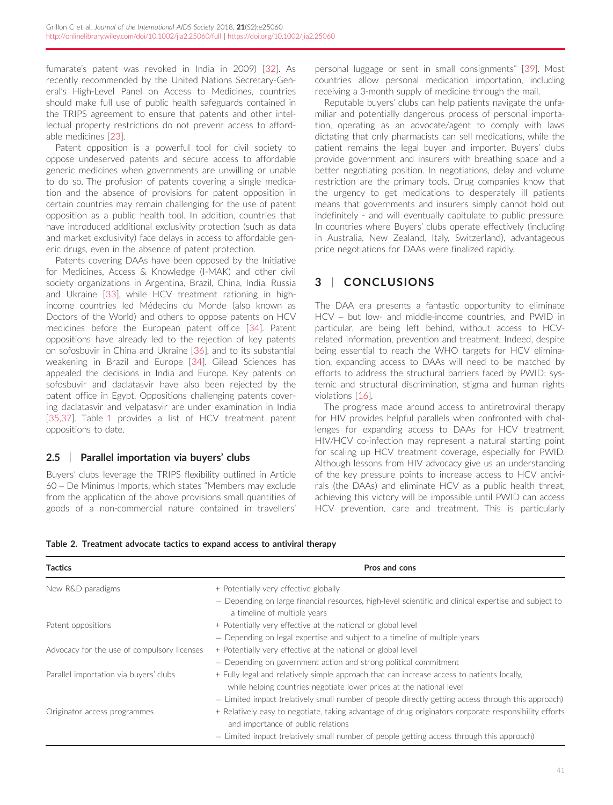<span id="page-3-0"></span>fumarate's patent was revoked in India in 2009) [[32](#page-5-0)]. As recently recommended by the United Nations Secretary-General's High-Level Panel on Access to Medicines, countries should make full use of public health safeguards contained in the TRIPS agreement to ensure that patents and other intellectual property restrictions do not prevent access to affordable medicines [[23](#page-4-0)].

Patent opposition is a powerful tool for civil society to oppose undeserved patents and secure access to affordable generic medicines when governments are unwilling or unable to do so. The profusion of patents covering a single medication and the absence of provisions for patent opposition in certain countries may remain challenging for the use of patent opposition as a public health tool. In addition, countries that have introduced additional exclusivity protection (such as data and market exclusivity) face delays in access to affordable generic drugs, even in the absence of patent protection.

Patents covering DAAs have been opposed by the Initiative for Medicines, Access & Knowledge (I-MAK) and other civil society organizations in Argentina, Brazil, China, India, Russia and Ukraine [[33\]](#page-5-0), while HCV treatment rationing in highincome countries led Médecins du Monde (also known as Doctors of the World) and others to oppose patents on HCV medicines before the European patent office [[34](#page-5-0)]. Patent oppositions have already led to the rejection of key patents on sofosbuvir in China and Ukraine [\[36\]](#page-5-0), and to its substantial weakening in Brazil and Europe [\[34](#page-5-0)]. Gilead Sciences has appealed the decisions in India and Europe. Key patents on sofosbuvir and daclatasvir have also been rejected by the patent office in Egypt. Oppositions challenging patents covering daclatasvir and velpatasvir are under examination in India [\[35,37\]](#page-5-0). Table [1](#page-2-0) provides a list of HCV treatment patent oppositions to date.

### 2.5 | Parallel importation via buyers' clubs

Buyers' clubs leverage the TRIPS flexibility outlined in Article 60 – De Minimus Imports, which states "Members may exclude from the application of the above provisions small quantities of goods of a non-commercial nature contained in travellers' personal luggage or sent in small consignments" [[39\]](#page-5-0). Most countries allow personal medication importation, including receiving a 3-month supply of medicine through the mail.

Reputable buyers' clubs can help patients navigate the unfamiliar and potentially dangerous process of personal importation, operating as an advocate/agent to comply with laws dictating that only pharmacists can sell medications, while the patient remains the legal buyer and importer. Buyers' clubs provide government and insurers with breathing space and a better negotiating position. In negotiations, delay and volume restriction are the primary tools. Drug companies know that the urgency to get medications to desperately ill patients means that governments and insurers simply cannot hold out indefinitely - and will eventually capitulate to public pressure. In countries where Buyers' clubs operate effectively (including in Australia, New Zealand, Italy, Switzerland), advantageous price negotiations for DAAs were finalized rapidly.

## 3 | CONCLUSIONS

The DAA era presents a fantastic opportunity to eliminate HCV – but low- and middle-income countries, and PWID in particular, are being left behind, without access to HCVrelated information, prevention and treatment. Indeed, despite being essential to reach the WHO targets for HCV elimination, expanding access to DAAs will need to be matched by efforts to address the structural barriers faced by PWID: systemic and structural discrimination, stigma and human rights violations [[16\]](#page-4-0).

The progress made around access to antiretroviral therapy for HIV provides helpful parallels when confronted with challenges for expanding access to DAAs for HCV treatment. HIV/HCV co-infection may represent a natural starting point for scaling up HCV treatment coverage, especially for PWID. Although lessons from HIV advocacy give us an understanding of the key pressure points to increase access to HCV antivirals (the DAAs) and eliminate HCV as a public health threat, achieving this victory will be impossible until PWID can access HCV prevention, care and treatment. This is particularly

| <b>Tactics</b>                              | Pros and cons                                                                                                                                                                                                                                                            |
|---------------------------------------------|--------------------------------------------------------------------------------------------------------------------------------------------------------------------------------------------------------------------------------------------------------------------------|
| New R&D paradigms                           | + Potentially very effective globally                                                                                                                                                                                                                                    |
|                                             | - Depending on large financial resources, high-level scientific and clinical expertise and subject to<br>a timeline of multiple years                                                                                                                                    |
| Patent oppositions                          | + Potentially very effective at the national or global level                                                                                                                                                                                                             |
|                                             | - Depending on legal expertise and subject to a timeline of multiple years                                                                                                                                                                                               |
| Advocacy for the use of compulsory licenses | + Potentially very effective at the national or global level                                                                                                                                                                                                             |
|                                             | - Depending on government action and strong political commitment                                                                                                                                                                                                         |
| Parallel importation via buyers' clubs      | + Fully legal and relatively simple approach that can increase access to patients locally,<br>while helping countries negotiate lower prices at the national level<br>- Limited impact (relatively small number of people directly getting access through this approach) |
| Originator access programmes                | + Relatively easy to negotiate, taking advantage of drug originators corporate responsibility efforts<br>and importance of public relations<br>- Limited impact (relatively small number of people getting access through this approach)                                 |

Table 2. Treatment advocate tactics to expand access to antiviral therapy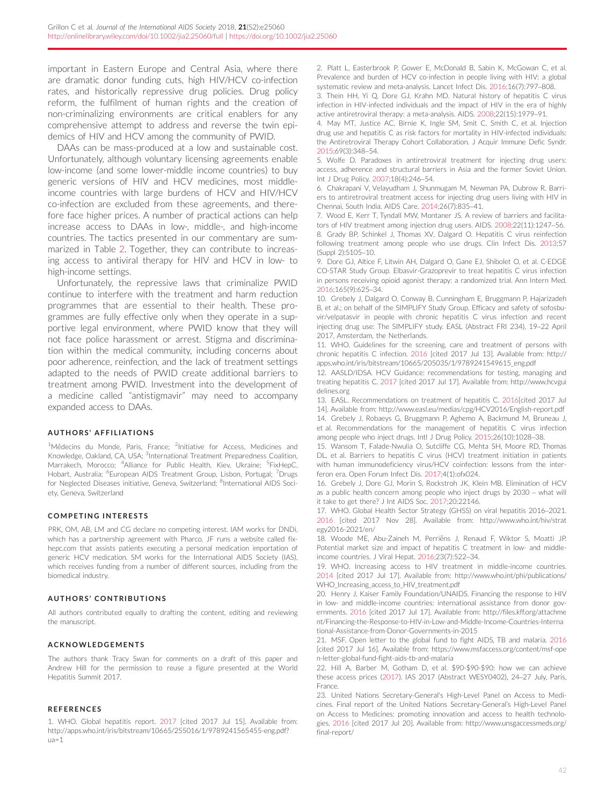<span id="page-4-0"></span>important in Eastern Europe and Central Asia, where there are dramatic donor funding cuts, high HIV/HCV co-infection rates, and historically repressive drug policies. Drug policy reform, the fulfilment of human rights and the creation of non-criminalizing environments are critical enablers for any comprehensive attempt to address and reverse the twin epidemics of HIV and HCV among the community of PWID.

DAAs can be mass-produced at a low and sustainable cost. Unfortunately, although voluntary licensing agreements enable low-income (and some lower-middle income countries) to buy generic versions of HIV and HCV medicines, most middleincome countries with large burdens of HCV and HIV/HCV co-infection are excluded from these agreements, and therefore face higher prices. A number of practical actions can help increase access to DAAs in low-, middle-, and high-income countries. The tactics presented in our commentary are summarized in Table [2](#page-3-0). Together, they can contribute to increasing access to antiviral therapy for HIV and HCV in low- to high-income settings.

Unfortunately, the repressive laws that criminalize PWID continue to interfere with the treatment and harm reduction programmes that are essential to their health. These programmes are fully effective only when they operate in a supportive legal environment, where PWID know that they will not face police harassment or arrest. Stigma and discrimination within the medical community, including concerns about poor adherence, reinfection, and the lack of treatment settings adapted to the needs of PWID create additional barriers to treatment among PWID. Investment into the development of a medicine called "antistigmavir" may need to accompany expanded access to DAAs.

#### AUTHORS ' AFFILIATIONS

<sup>1</sup>Médecins du Monde, Paris, France; <sup>2</sup>Initiative for Access, Medicines and Knowledge, Oakland, CA, USA; <sup>3</sup>International Treatment Preparedness Coalition, Marrakech, Morocco; <sup>4</sup>Alliance for Public Health, Kiev, Ukraine; <sup>5</sup>FixHepC, Hobart, Australia; <sup>6</sup>European AIDS Treatment Group, Lisbon, Portugal; <sup>7</sup>Drugs for Neglected Diseases initiative, Geneva, Switzerland; <sup>8</sup>International AIDS Society, Geneva, Switzerland

#### COMPETING INTERESTS

PRK, OM, AB, LM and CG declare no competing interest. IAM works for DNDi, which has a partnership agreement with Pharco. JF runs a website called fixhepc.com that assists patients executing a personal medication importation of generic HCV medication. SM works for the International AIDS Society (IAS), which receives funding from a number of different sources, including from the biomedical industry.

#### **AUTHORS' CONTRIBUTIONS**

All authors contributed equally to drafting the content, editing and reviewing the manuscript.

#### ACKNOWLEDGEMENTS

The authors thank Tracy Swan for comments on a draft of this paper and Andrew Hill for the permission to reuse a figure presented at the World Hepatitis Summit 2017.

#### **REFERENCES**

1. WHO. Global hepatitis report. 2017 [cited 2017 Jul 15]. Available from: [http://apps.who.int/iris/bitstream/10665/255016/1/9789241565455-eng.pdf?](http://apps.who.int/iris/bitstream/10665/255016/1/9789241565455-eng.pdf?ua=1) [ua=1](http://apps.who.int/iris/bitstream/10665/255016/1/9789241565455-eng.pdf?ua=1)

2. Platt L, Easterbrook P, Gower E, McDonald B, Sabin K, McGowan C, et al. Prevalence and burden of HCV co-infection in people living with HIV: a global systematic review and meta-analysis. Lancet Infect Dis. 2016;16(7):797–808.

3. Thein HH, Yi Q, Dore GJ, Krahn MD. Natural history of hepatitis C virus infection in HIV-infected individuals and the impact of HIV in the era of highly active antiretroviral therapy: a meta-analysis. AIDS. 2008;22(15):1979–91.

4. May MT, Justice AC, Birnie K, Ingle SM, Smit C, Smith C, et al. Injection drug use and hepatitis C as risk factors for mortality in HIV-infected individuals: the Antiretroviral Therapy Cohort Collaboration. J Acquir Immune Defic Syndr. 2015;69(3):348–54.

5. Wolfe D. Paradoxes in antiretroviral treatment for injecting drug users: access, adherence and structural barriers in Asia and the former Soviet Union. Int J Drug Policy. 2007;18(4):246–54.

6. Chakrapani V, Velayudham J, Shunmugam M, Newman PA, Dubrow R. Barriers to antiretroviral treatment access for injecting drug users living with HIV in Chennai, South India. AIDS Care. 2014;26(7):835–41.

7. Wood E, Kerr T, Tyndall MW, Montaner JS. A review of barriers and facilitators of HIV treatment among injection drug users. AIDS. 2008;22(11):1247–56. 8. Grady BP, Schinkel J, Thomas XV, Dalgard O. Hepatitis C virus reinfection following treatment among people who use drugs. Clin Infect Dis. 2013;57 (Suppl 2):S105–10.

9. Dore GJ, Altice F, Litwin AH, Dalgard O, Gane EJ, Shibolet O, et al. C-EDGE CO-STAR Study Group. Elbasvir-Grazoprevir to treat hepatitis C virus infection in persons receiving opioid agonist therapy: a randomized trial. Ann Intern Med. 2016;165(9):625–34.

10. Grebely J, Dalgard O, Conway B, Cunningham E, Bruggmann P, Hajarizadeh B, et al.; on behalf of the SIMPLIFY Study Group. Efficacy and safety of sofosbuvir/velpatasvir in people with chronic hepatitis C virus infection and recent injecting drug use: The SIMPLIFY study. EASL (Abstract FRI 234), 19–22 April 2017, Amsterdam, the Netherlands.

11. WHO. Guidelines for the screening, care and treatment of persons with chronic hepatitis C infection. 2016 [cited 2017 Jul 13]. Available from: [http://](http://apps.who.int/iris/bitstream/10665/205035/1/9789241549615_eng.pdf) [apps.who.int/iris/bitstream/10665/205035/1/9789241549615\\_eng.pdf](http://apps.who.int/iris/bitstream/10665/205035/1/9789241549615_eng.pdf)

12. AASLD/IDSA. HCV Guidance: recommendations for testing, managing and treating hepatitis C. 2017 [cited 2017 Jul 17]. Available from: [http://www.hcvgui](http://www.hcvguidelines.org) [delines.org](http://www.hcvguidelines.org)

13. EASL. Recommendations on treatment of hepatitis C. 2016[cited 2017 Jul 14]. Available from:<http://www.easl.eu/medias/cpg/HCV2016/English-report.pdf> 14. Grebely J, Robaeys G, Bruggmann P, Aghemo A, Backmund M, Bruneau J, et al. Recommendations for the management of hepatitis C virus infection among people who inject drugs. Intl J Drug Policy. 2015;26(10):1028–38.

15. Wansom T, Falade-Nwulia O, Sutcliffe CG, Mehta SH, Moore RD, Thomas DL, et al. Barriers to hepatitis C virus (HCV) treatment initiation in patients with human immunodeficiency virus/HCV coinfection: lessons from the interferon era. Open Forum Infect Dis. 2017;4(1):ofx024.

16. Grebely J, Dore GJ, Morin S, Rockstroh JK, Klein MB. Elimination of HCV as a public health concern among people who inject drugs by 2030 – what will it take to get there? J Int AIDS Soc. 2017;20:22146.

17. WHO. Global Health Sector Strategy (GHSS) on viral hepatitis 2016–2021. 2016 [cited 2017 Nov 28]. Available from: [http://www.who.int/hiv/strat](http://www.who.int/hiv/strategy2016-2021/en/) [egy2016-2021/en/](http://www.who.int/hiv/strategy2016-2021/en/)

18. Woode ME, Abu-Zaineh M, Perriëns J, Renaud F, Wiktor S, Moatti JP. Potential market size and impact of hepatitis C treatment in low- and middleincome countries. J Viral Hepat. 2016;23(7):522–34.

19. WHO. Increasing access to HIV treatment in middle-income countries. 2014 [cited 2017 Jul 17]. Available from: [http://www.who.int/phi/publications/](http://www.who.int/phi/publications/WHO_Increasing_access_to_HIV_treatment.pdf) [WHO\\_Increasing\\_access\\_to\\_HIV\\_treatment.pdf](http://www.who.int/phi/publications/WHO_Increasing_access_to_HIV_treatment.pdf)

20. Henry J, Kaiser Family Foundation/UNAIDS. Financing the response to HIV in low- and middle-income countries: international assistance from donor governments. 2016 [cited 2017 Jul 17]. Available from: [http://files.kff.org/attachme](http://files.kff.org/attachment/Financing-the-Response-to-HIV-in-Low-and-Middle-Income-Countries-International-Assistance-from-Donor-Governments-in-2015) [nt/Financing-the-Response-to-HIV-in-Low-and-Middle-Income-Countries-Interna](http://files.kff.org/attachment/Financing-the-Response-to-HIV-in-Low-and-Middle-Income-Countries-International-Assistance-from-Donor-Governments-in-2015) [tional-Assistance-from-Donor-Governments-in-2015](http://files.kff.org/attachment/Financing-the-Response-to-HIV-in-Low-and-Middle-Income-Countries-International-Assistance-from-Donor-Governments-in-2015)

21. MSF. Open letter to the global fund to fight AIDS, TB and malaria. 2016 [cited 2017 Jul 16]. Available from: [https://www.msfaccess.org/content/msf-ope](https://www.msfaccess.org/content/msf-open-letter-global-fund-fight-aids-tb-and-malaria) [n-letter-global-fund-fight-aids-tb-and-malaria](https://www.msfaccess.org/content/msf-open-letter-global-fund-fight-aids-tb-and-malaria)

22. Hill A, Barber M, Gotham D, et al. \$90-\$90-\$90: how we can achieve these access prices (2017). IAS 2017 (Abstract WESY0402), 24–27 July, Paris, France.

23. United Nations Secretary-General's High-Level Panel on Access to Medicines. Final report of the United Nations Secretary-General's High-Level Panel on Access to Medicines: promoting innovation and access to health technologies. 2016 [cited 2017 Jul 20]. Available from: [http://www.unsgaccessmeds.org/](http://www.unsgaccessmeds.org/final-report/) [final-report/](http://www.unsgaccessmeds.org/final-report/)